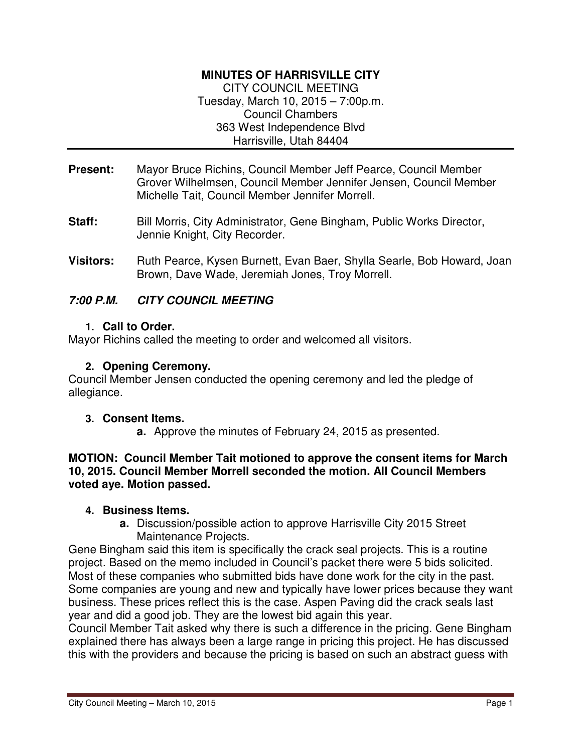# **MINUTES OF HARRISVILLE CITY**

CITY COUNCIL MEETING Tuesday, March 10, 2015 – 7:00p.m. Council Chambers 363 West Independence Blvd Harrisville, Utah 84404

- **Present:** Mayor Bruce Richins, Council Member Jeff Pearce, Council Member Grover Wilhelmsen, Council Member Jennifer Jensen, Council Member Michelle Tait, Council Member Jennifer Morrell.
- **Staff:** Bill Morris, City Administrator, Gene Bingham, Public Works Director, Jennie Knight, City Recorder.
- **Visitors:** Ruth Pearce, Kysen Burnett, Evan Baer, Shylla Searle, Bob Howard, Joan Brown, Dave Wade, Jeremiah Jones, Troy Morrell.

# **7:00 P.M. CITY COUNCIL MEETING**

# **1. Call to Order.**

Mayor Richins called the meeting to order and welcomed all visitors.

#### **2. Opening Ceremony.**

Council Member Jensen conducted the opening ceremony and led the pledge of allegiance.

#### **3. Consent Items.**

**a.** Approve the minutes of February 24, 2015 as presented.

#### **MOTION: Council Member Tait motioned to approve the consent items for March 10, 2015. Council Member Morrell seconded the motion. All Council Members voted aye. Motion passed.**

#### **4. Business Items.**

**a.** Discussion/possible action to approve Harrisville City 2015 Street Maintenance Projects.

Gene Bingham said this item is specifically the crack seal projects. This is a routine project. Based on the memo included in Council's packet there were 5 bids solicited. Most of these companies who submitted bids have done work for the city in the past. Some companies are young and new and typically have lower prices because they want business. These prices reflect this is the case. Aspen Paving did the crack seals last year and did a good job. They are the lowest bid again this year.

Council Member Tait asked why there is such a difference in the pricing. Gene Bingham explained there has always been a large range in pricing this project. He has discussed this with the providers and because the pricing is based on such an abstract guess with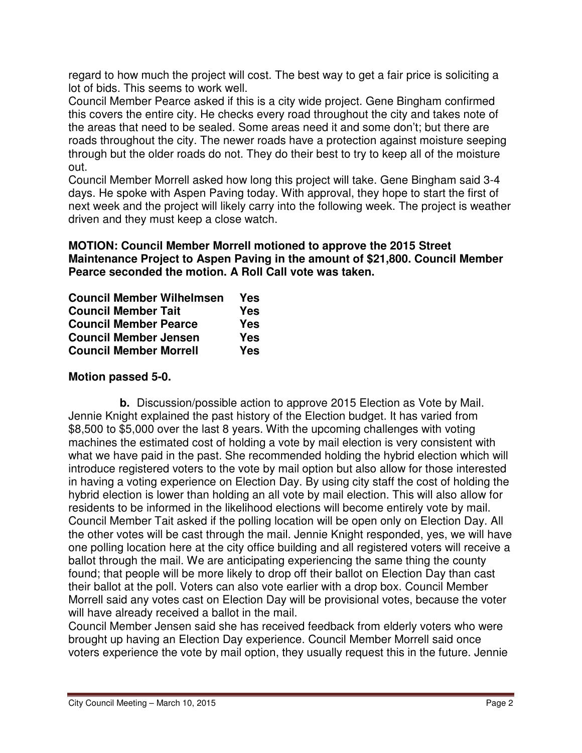regard to how much the project will cost. The best way to get a fair price is soliciting a lot of bids. This seems to work well.

Council Member Pearce asked if this is a city wide project. Gene Bingham confirmed this covers the entire city. He checks every road throughout the city and takes note of the areas that need to be sealed. Some areas need it and some don't; but there are roads throughout the city. The newer roads have a protection against moisture seeping through but the older roads do not. They do their best to try to keep all of the moisture out.

Council Member Morrell asked how long this project will take. Gene Bingham said 3-4 days. He spoke with Aspen Paving today. With approval, they hope to start the first of next week and the project will likely carry into the following week. The project is weather driven and they must keep a close watch.

#### **MOTION: Council Member Morrell motioned to approve the 2015 Street Maintenance Project to Aspen Paving in the amount of \$21,800. Council Member Pearce seconded the motion. A Roll Call vote was taken.**

| <b>Council Member Wilhelmsen</b> | Yes |
|----------------------------------|-----|
| <b>Council Member Tait</b>       | Yes |
| <b>Council Member Pearce</b>     | Yes |
| <b>Council Member Jensen</b>     | Yes |
| <b>Council Member Morrell</b>    | Yes |

# **Motion passed 5-0.**

**b.** Discussion/possible action to approve 2015 Election as Vote by Mail. Jennie Knight explained the past history of the Election budget. It has varied from \$8,500 to \$5,000 over the last 8 years. With the upcoming challenges with voting machines the estimated cost of holding a vote by mail election is very consistent with what we have paid in the past. She recommended holding the hybrid election which will introduce registered voters to the vote by mail option but also allow for those interested in having a voting experience on Election Day. By using city staff the cost of holding the hybrid election is lower than holding an all vote by mail election. This will also allow for residents to be informed in the likelihood elections will become entirely vote by mail. Council Member Tait asked if the polling location will be open only on Election Day. All the other votes will be cast through the mail. Jennie Knight responded, yes, we will have one polling location here at the city office building and all registered voters will receive a ballot through the mail. We are anticipating experiencing the same thing the county found; that people will be more likely to drop off their ballot on Election Day than cast their ballot at the poll. Voters can also vote earlier with a drop box. Council Member Morrell said any votes cast on Election Day will be provisional votes, because the voter will have already received a ballot in the mail.

Council Member Jensen said she has received feedback from elderly voters who were brought up having an Election Day experience. Council Member Morrell said once voters experience the vote by mail option, they usually request this in the future. Jennie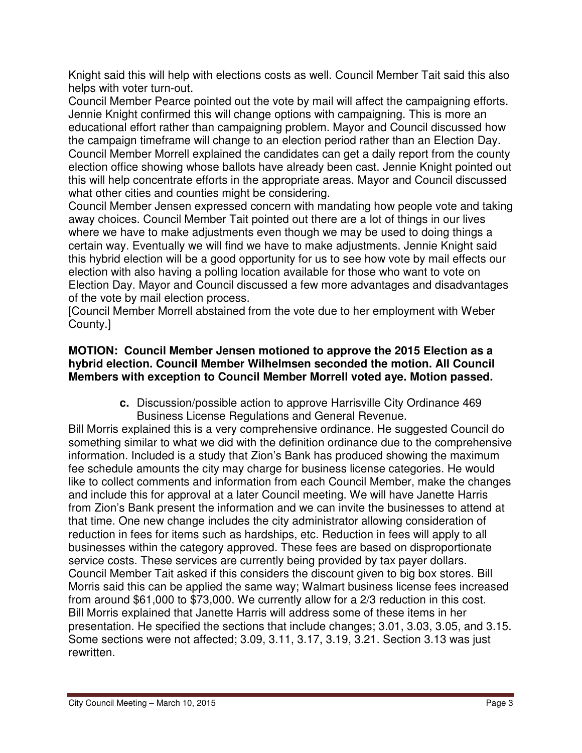Knight said this will help with elections costs as well. Council Member Tait said this also helps with voter turn-out.

Council Member Pearce pointed out the vote by mail will affect the campaigning efforts. Jennie Knight confirmed this will change options with campaigning. This is more an educational effort rather than campaigning problem. Mayor and Council discussed how the campaign timeframe will change to an election period rather than an Election Day. Council Member Morrell explained the candidates can get a daily report from the county election office showing whose ballots have already been cast. Jennie Knight pointed out this will help concentrate efforts in the appropriate areas. Mayor and Council discussed what other cities and counties might be considering.

Council Member Jensen expressed concern with mandating how people vote and taking away choices. Council Member Tait pointed out there are a lot of things in our lives where we have to make adjustments even though we may be used to doing things a certain way. Eventually we will find we have to make adjustments. Jennie Knight said this hybrid election will be a good opportunity for us to see how vote by mail effects our election with also having a polling location available for those who want to vote on Election Day. Mayor and Council discussed a few more advantages and disadvantages of the vote by mail election process.

[Council Member Morrell abstained from the vote due to her employment with Weber County.]

#### **MOTION: Council Member Jensen motioned to approve the 2015 Election as a hybrid election. Council Member Wilhelmsen seconded the motion. All Council Members with exception to Council Member Morrell voted aye. Motion passed.**

**c.** Discussion/possible action to approve Harrisville City Ordinance 469 Business License Regulations and General Revenue.

Bill Morris explained this is a very comprehensive ordinance. He suggested Council do something similar to what we did with the definition ordinance due to the comprehensive information. Included is a study that Zion's Bank has produced showing the maximum fee schedule amounts the city may charge for business license categories. He would like to collect comments and information from each Council Member, make the changes and include this for approval at a later Council meeting. We will have Janette Harris from Zion's Bank present the information and we can invite the businesses to attend at that time. One new change includes the city administrator allowing consideration of reduction in fees for items such as hardships, etc. Reduction in fees will apply to all businesses within the category approved. These fees are based on disproportionate service costs. These services are currently being provided by tax payer dollars. Council Member Tait asked if this considers the discount given to big box stores. Bill Morris said this can be applied the same way; Walmart business license fees increased from around \$61,000 to \$73,000. We currently allow for a 2/3 reduction in this cost. Bill Morris explained that Janette Harris will address some of these items in her presentation. He specified the sections that include changes; 3.01, 3.03, 3.05, and 3.15. Some sections were not affected; 3.09, 3.11, 3.17, 3.19, 3.21. Section 3.13 was just rewritten.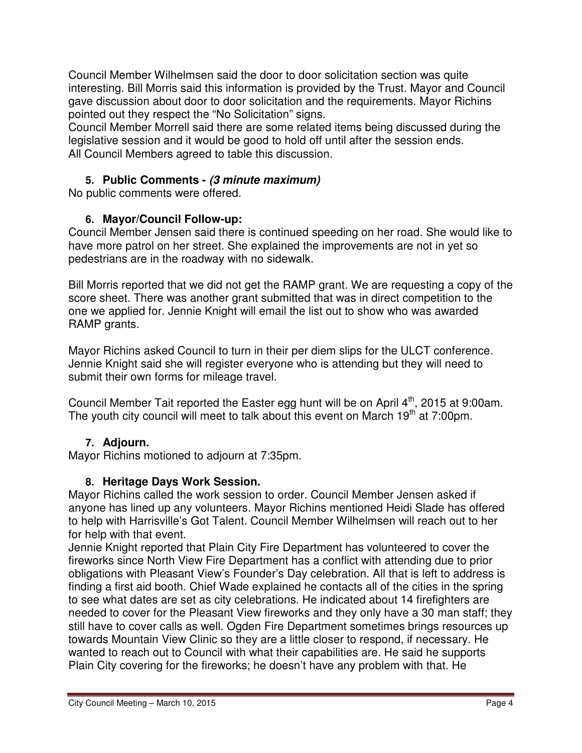Council Member Wilhelmsen said the door to door solicitation section was quite interesting. Bill Morris said this information is provided by the Trust. Mayor and Council gave discussion about door to door solicitation and the requirements. Mayor Richins pointed out they respect the "No Solicitation" signs.

Council Member Morrell said there are some related items being discussed during the legislative session and it would be good to hold off until after the session ends. All Council Members agreed to table this discussion.

# **5. Public Comments - (3 minute maximum)**

No public comments were offered.

# **6. Mayor/Council Follow-up:**

Council Member Jensen said there is continued speeding on her road. She would like to have more patrol on her street. She explained the improvements are not in yet so pedestrians are in the roadway with no sidewalk.

Bill Morris reported that we did not get the RAMP grant. We are requesting a copy of the score sheet. There was another grant submitted that was in direct competition to the one we applied for. Jennie Knight will email the list out to show who was awarded RAMP grants.

Mayor Richins asked Council to turn in their per diem slips for the ULCT conference. Jennie Knight said she will register everyone who is attending but they will need to submit their own forms for mileage travel.

Council Member Tait reported the Easter egg hunt will be on April 4<sup>th</sup>, 2015 at 9:00am. The youth city council will meet to talk about this event on March 19<sup>th</sup> at 7:00pm.

# **7. Adjourn.**

Mayor Richins motioned to adjourn at 7:35pm.

# **8. Heritage Days Work Session.**

Mayor Richins called the work session to order. Council Member Jensen asked if anyone has lined up any volunteers. Mayor Richins mentioned Heidi Slade has offered to help with Harrisville's Got Talent. Council Member Wilhelmsen will reach out to her for help with that event.

Jennie Knight reported that Plain City Fire Department has volunteered to cover the fireworks since North View Fire Department has a conflict with attending due to prior obligations with Pleasant View's Founder's Day celebration. All that is left to address is finding a first aid booth. Chief Wade explained he contacts all of the cities in the spring to see what dates are set as city celebrations. He indicated about 14 firefighters are needed to cover for the Pleasant View fireworks and they only have a 30 man staff; they still have to cover calls as well. Ogden Fire Department sometimes brings resources up towards Mountain View Clinic so they are a little closer to respond, if necessary. He wanted to reach out to Council with what their capabilities are. He said he supports Plain City covering for the fireworks; he doesn't have any problem with that. He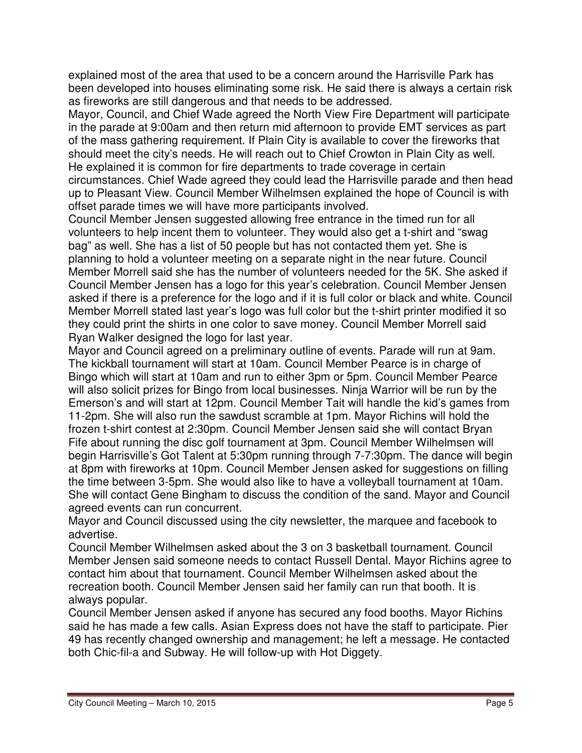explained most of the area that used to be a concern around the Harrisville Park has been developed into houses eliminating some risk. He said there is always a certain risk as fireworks are still dangerous and that needs to be addressed.

Mayor, Council, and Chief Wade agreed the North View Fire Department will participate in the parade at 9:00am and then return mid afternoon to provide EMT services as part of the mass gathering requirement. If Plain City is available to cover the fireworks that should meet the city's needs. He will reach out to Chief Crowton in Plain City as well. He explained it is common for fire departments to trade coverage in certain circumstances. Chief Wade agreed they could lead the Harrisville parade and then head up to Pleasant View. Council Member Wilhelmsen explained the hope of Council is with offset parade times we will have more participants involved.

Council Member Jensen suggested allowing free entrance in the timed run for all volunteers to help incent them to volunteer. They would also get a t-shirt and "swag bag" as well. She has a list of 50 people but has not contacted them yet. She is planning to hold a volunteer meeting on a separate night in the near future. Council Member Morrell said she has the number of volunteers needed for the 5K. She asked if Council Member Jensen has a logo for this year's celebration. Council Member Jensen asked if there is a preference for the logo and if it is full color or black and white. Council Member Morrell stated last year's logo was full color but the t-shirt printer modified it so they could print the shirts in one color to save money. Council Member Morrell said Ryan Walker designed the logo for last year.

Mayor and Council agreed on a preliminary outline of events. Parade will run at 9am. The kickball tournament will start at 10am. Council Member Pearce is in charge of Bingo which will start at 10am and run to either 3pm or 5pm. Council Member Pearce will also solicit prizes for Bingo from local businesses. Ninja Warrior will be run by the Emerson's and will start at 12pm. Council Member Tait will handle the kid's games from 11-2pm. She will also run the sawdust scramble at 1pm. Mayor Richins will hold the frozen t-shirt contest at 2:30pm. Council Member Jensen said she will contact Bryan Fife about running the disc golf tournament at 3pm. Council Member Wilhelmsen will begin Harrisville's Got Talent at 5:30pm running through 7-7:30pm. The dance will begin at 8pm with fireworks at 10pm. Council Member Jensen asked for suggestions on filling the time between 3-5pm. She would also like to have a volleyball tournament at 10am. She will contact Gene Bingham to discuss the condition of the sand. Mayor and Council agreed events can run concurrent.

Mayor and Council discussed using the city newsletter, the marquee and facebook to advertise.

Council Member Wilhelmsen asked about the 3 on 3 basketball tournament. Council Member Jensen said someone needs to contact Russell Dental. Mayor Richins agree to contact him about that tournament. Council Member Wilhelmsen asked about the recreation booth. Council Member Jensen said her family can run that booth. It is always popular.

Council Member Jensen asked if anyone has secured any food booths. Mayor Richins said he has made a few calls. Asian Express does not have the staff to participate. Pier 49 has recently changed ownership and management; he left a message. He contacted both Chic-fil-a and Subway. He will follow-up with Hot Diggety.